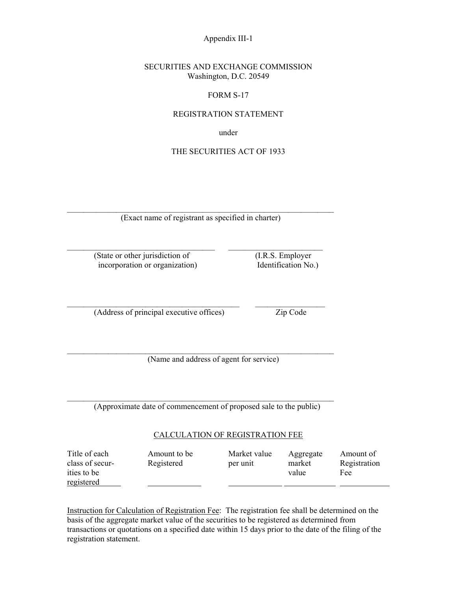Appendix III-1

#### SECURITIES AND EXCHANGE COMMISSION Washington, D.C. 20549

### FORM S-17

#### REGISTRATION STATEMENT

under

### THE SECURITIES ACT OF 1933

 $\mathcal{L}_\text{max} = \frac{1}{2} \sum_{i=1}^n \mathcal{L}_\text{max}(\mathbf{z}_i - \mathbf{z}_i)$ (Exact name of registrant as specified in charter)

 $\mathcal{L}_\text{max}$  and the contract of the contract of the contract of the contract of the contract of the contract of

 (State or other jurisdiction of (I.R.S. Employer incorporation or organization) Identification No.)

(Address of principal executive offices) Zip Code

(Name and address of agent for service)

 $\mathcal{L}_\text{max} = \frac{1}{2} \sum_{i=1}^n \mathcal{L}_\text{max}(\mathbf{z}_i - \mathbf{z}_i)$ 

(Approximate date of commencement of proposed sale to the public)

 $\mathcal{L}_\text{max} = \frac{1}{2} \sum_{i=1}^n \mathcal{L}_\text{max}(\mathbf{z}_i - \mathbf{z}_i)$ 

#### CALCULATION OF REGISTRATION FEE

| Title of each   | Amount to be | Market value | Aggregate | Amount of    |
|-----------------|--------------|--------------|-----------|--------------|
| class of secur- | Registered   | per unit     | market    | Registration |
| ities to be     |              |              | value     | Fee          |
| registered      |              |              |           |              |

Instruction for Calculation of Registration Fee: The registration fee shall be determined on the basis of the aggregate market value of the securities to be registered as determined from transactions or quotations on a specified date within 15 days prior to the date of the filing of the registration statement.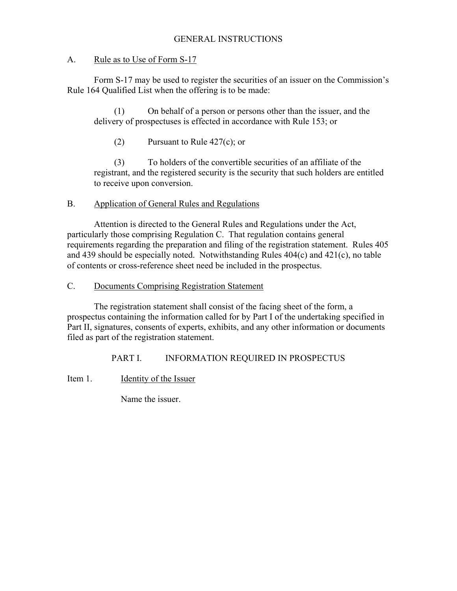# GENERAL INSTRUCTIONS

# A. Rule as to Use of Form S-17

 Form S-17 may be used to register the securities of an issuer on the Commission's Rule 164 Qualified List when the offering is to be made:

(1) On behalf of a person or persons other than the issuer, and the delivery of prospectuses is effected in accordance with Rule 153; or

(2) Pursuant to Rule 427(c); or

(3) To holders of the convertible securities of an affiliate of the registrant, and the registered security is the security that such holders are entitled to receive upon conversion.

# B. Application of General Rules and Regulations

Attention is directed to the General Rules and Regulations under the Act, particularly those comprising Regulation C. That regulation contains general requirements regarding the preparation and filing of the registration statement. Rules 405 and 439 should be especially noted. Notwithstanding Rules 404(c) and 421(c), no table of contents or cross-reference sheet need be included in the prospectus.

# C. Documents Comprising Registration Statement

 The registration statement shall consist of the facing sheet of the form, a prospectus containing the information called for by Part I of the undertaking specified in Part II, signatures, consents of experts, exhibits, and any other information or documents filed as part of the registration statement.

# PART I. INFORMATION REQUIRED IN PROSPECTUS

Item 1. Identity of the Issuer

Name the issuer.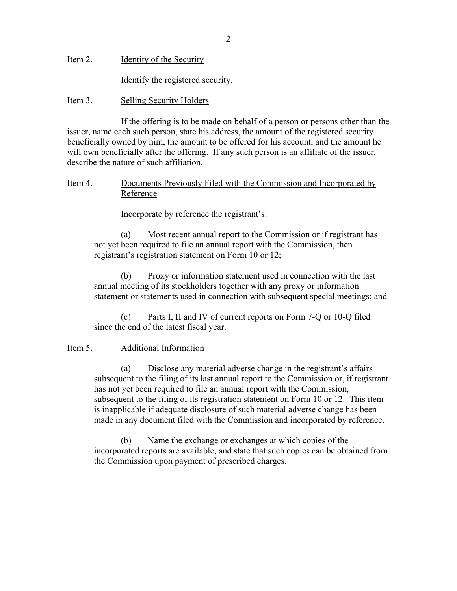Item 2. **Identity of the Security** 

Identify the registered security.

## Item 3. Selling Security Holders

 If the offering is to be made on behalf of a person or persons other than the issuer, name each such person, state his address, the amount of the registered security beneficially owned by him, the amount to be offered for his account, and the amount he will own beneficially after the offering. If any such person is an affiliate of the issuer, describe the nature of such affiliation.

## Item 4. Documents Previously Filed with the Commission and Incorporated by Reference

Incorporate by reference the registrant's:

(a) Most recent annual report to the Commission or if registrant has not yet been required to file an annual report with the Commission, then registrant's registration statement on Form 10 or 12;

(b) Proxy or information statement used in connection with the last annual meeting of its stockholders together with any proxy or information statement or statements used in connection with subsequent special meetings; and

(c) Parts I, II and IV of current reports on Form 7-Q or 10-Q filed since the end of the latest fiscal year.

## Item 5. Additional Information

(a) Disclose any material adverse change in the registrant's affairs subsequent to the filing of its last annual report to the Commission or, if registrant has not yet been required to file an annual report with the Commission, subsequent to the filing of its registration statement on Form 10 or 12. This item is inapplicable if adequate disclosure of such material adverse change has been made in any document filed with the Commission and incorporated by reference.

(b) Name the exchange or exchanges at which copies of the incorporated reports are available, and state that such copies can be obtained from the Commission upon payment of prescribed charges.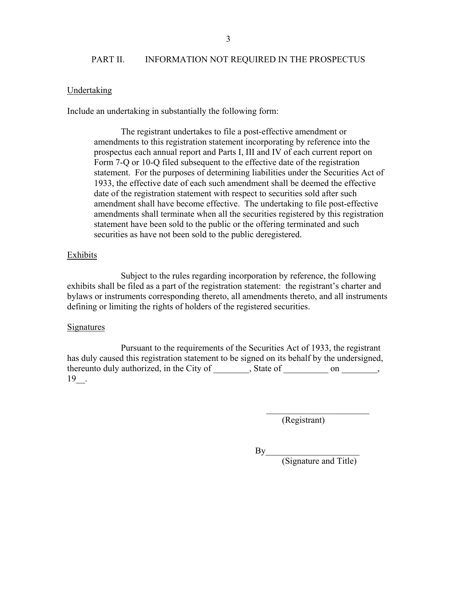## PART II. INFORMATION NOT REQUIRED IN THE PROSPECTUS

### Undertaking

Include an undertaking in substantially the following form:

The registrant undertakes to file a post-effective amendment or amendments to this registration statement incorporating by reference into the prospectus each annual report and Parts I, III and IV of each current report on Form 7-Q or 10-Q filed subsequent to the effective date of the registration statement. For the purposes of determining liabilities under the Securities Act of 1933, the effective date of each such amendment shall be deemed the effective date of the registration statement with respect to securities sold after such amendment shall have become effective. The undertaking to file post-effective amendments shall terminate when all the securities registered by this registration statement have been sold to the public or the offering terminated and such securities as have not been sold to the public deregistered.

### Exhibits

 Subject to the rules regarding incorporation by reference, the following exhibits shall be filed as a part of the registration statement: the registrant's charter and bylaws or instruments corresponding thereto, all amendments thereto, and all instruments defining or limiting the rights of holders of the registered securities.

#### **Signatures**

 Pursuant to the requirements of the Securities Act of 1933, the registrant has duly caused this registration statement to be signed on its behalf by the undersigned, thereunto duly authorized, in the City of the state of con con con con the con con con con the conduct of  $\sim$ 19\_\_.

 $\mathcal{L}_\text{max}$  and  $\mathcal{L}_\text{max}$  and  $\mathcal{L}_\text{max}$  and  $\mathcal{L}_\text{max}$  and  $\mathcal{L}_\text{max}$  and  $\mathcal{L}_\text{max}$ 

(Registrant)

 $\mathbf{By}$ 

(Signature and Title)